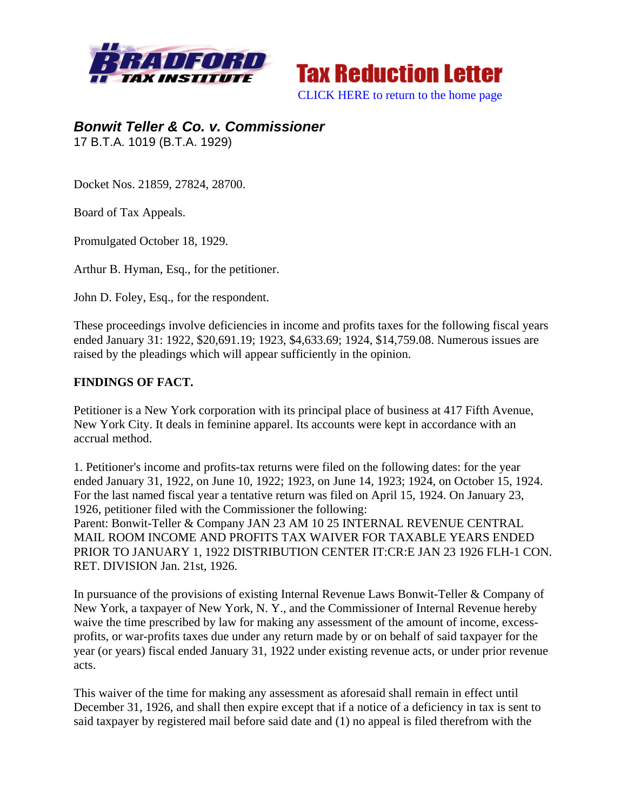

**Tax Reduction Letter** [CLICK HERE to return to the home page](http://bradfordtaxinstitute.com/index1.aspx) 

*Bonwit Teller & Co. v. Commissioner*  17 B.T.A. 1019 (B.T.A. 1929)

Docket Nos. 21859, 27824, 28700.

Board of Tax Appeals.

Promulgated October 18, 1929.

Arthur B. Hyman, Esq., for the petitioner.

John D. Foley, Esq., for the respondent.

These proceedings involve deficiencies in income and profits taxes for the following fiscal years ended January 31: 1922, \$20,691.19; 1923, \$4,633.69; 1924, \$14,759.08. Numerous issues are raised by the pleadings which will appear sufficiently in the opinion.

## **FINDINGS OF FACT.**

Petitioner is a New York corporation with its principal place of business at 417 Fifth Avenue, New York City. It deals in feminine apparel. Its accounts were kept in accordance with an accrual method.

1. Petitioner's income and profits-tax returns were filed on the following dates: for the year ended January 31, 1922, on June 10, 1922; 1923, on June 14, 1923; 1924, on October 15, 1924. For the last named fiscal year a tentative return was filed on April 15, 1924. On January 23, 1926, petitioner filed with the Commissioner the following:

Parent: Bonwit-Teller & Company JAN 23 AM 10 25 INTERNAL REVENUE CENTRAL MAIL ROOM INCOME AND PROFITS TAX WAIVER FOR TAXABLE YEARS ENDED PRIOR TO JANUARY 1, 1922 DISTRIBUTION CENTER IT:CR:E JAN 23 1926 FLH-1 CON. RET. DIVISION Jan. 21st, 1926.

In pursuance of the provisions of existing Internal Revenue Laws Bonwit-Teller & Company of New York, a taxpayer of New York, N. Y., and the Commissioner of Internal Revenue hereby waive the time prescribed by law for making any assessment of the amount of income, excessprofits, or war-profits taxes due under any return made by or on behalf of said taxpayer for the year (or years) fiscal ended January 31, 1922 under existing revenue acts, or under prior revenue acts.

This waiver of the time for making any assessment as aforesaid shall remain in effect until December 31, 1926, and shall then expire except that if a notice of a deficiency in tax is sent to said taxpayer by registered mail before said date and (1) no appeal is filed therefrom with the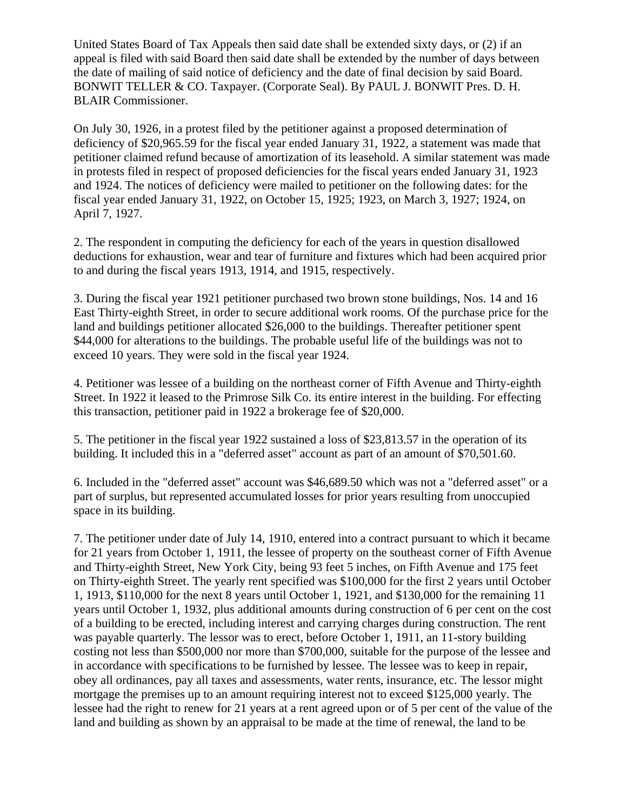United States Board of Tax Appeals then said date shall be extended sixty days, or (2) if an appeal is filed with said Board then said date shall be extended by the number of days between the date of mailing of said notice of deficiency and the date of final decision by said Board. BONWIT TELLER & CO. Taxpayer. (Corporate Seal). By PAUL J. BONWIT Pres. D. H. BLAIR Commissioner.

On July 30, 1926, in a protest filed by the petitioner against a proposed determination of deficiency of \$20,965.59 for the fiscal year ended January 31, 1922, a statement was made that petitioner claimed refund because of amortization of its leasehold. A similar statement was made in protests filed in respect of proposed deficiencies for the fiscal years ended January 31, 1923 and 1924. The notices of deficiency were mailed to petitioner on the following dates: for the fiscal year ended January 31, 1922, on October 15, 1925; 1923, on March 3, 1927; 1924, on April 7, 1927.

2. The respondent in computing the deficiency for each of the years in question disallowed deductions for exhaustion, wear and tear of furniture and fixtures which had been acquired prior to and during the fiscal years 1913, 1914, and 1915, respectively.

3. During the fiscal year 1921 petitioner purchased two brown stone buildings, Nos. 14 and 16 East Thirty-eighth Street, in order to secure additional work rooms. Of the purchase price for the land and buildings petitioner allocated \$26,000 to the buildings. Thereafter petitioner spent \$44,000 for alterations to the buildings. The probable useful life of the buildings was not to exceed 10 years. They were sold in the fiscal year 1924.

4. Petitioner was lessee of a building on the northeast corner of Fifth Avenue and Thirty-eighth Street. In 1922 it leased to the Primrose Silk Co. its entire interest in the building. For effecting this transaction, petitioner paid in 1922 a brokerage fee of \$20,000.

5. The petitioner in the fiscal year 1922 sustained a loss of \$23,813.57 in the operation of its building. It included this in a "deferred asset" account as part of an amount of \$70,501.60.

6. Included in the "deferred asset" account was \$46,689.50 which was not a "deferred asset" or a part of surplus, but represented accumulated losses for prior years resulting from unoccupied space in its building.

7. The petitioner under date of July 14, 1910, entered into a contract pursuant to which it became for 21 years from October 1, 1911, the lessee of property on the southeast corner of Fifth Avenue and Thirty-eighth Street, New York City, being 93 feet 5 inches, on Fifth Avenue and 175 feet on Thirty-eighth Street. The yearly rent specified was \$100,000 for the first 2 years until October 1, 1913, \$110,000 for the next 8 years until October 1, 1921, and \$130,000 for the remaining 11 years until October 1, 1932, plus additional amounts during construction of 6 per cent on the cost of a building to be erected, including interest and carrying charges during construction. The rent was payable quarterly. The lessor was to erect, before October 1, 1911, an 11-story building costing not less than \$500,000 nor more than \$700,000, suitable for the purpose of the lessee and in accordance with specifications to be furnished by lessee. The lessee was to keep in repair, obey all ordinances, pay all taxes and assessments, water rents, insurance, etc. The lessor might mortgage the premises up to an amount requiring interest not to exceed \$125,000 yearly. The lessee had the right to renew for 21 years at a rent agreed upon or of 5 per cent of the value of the land and building as shown by an appraisal to be made at the time of renewal, the land to be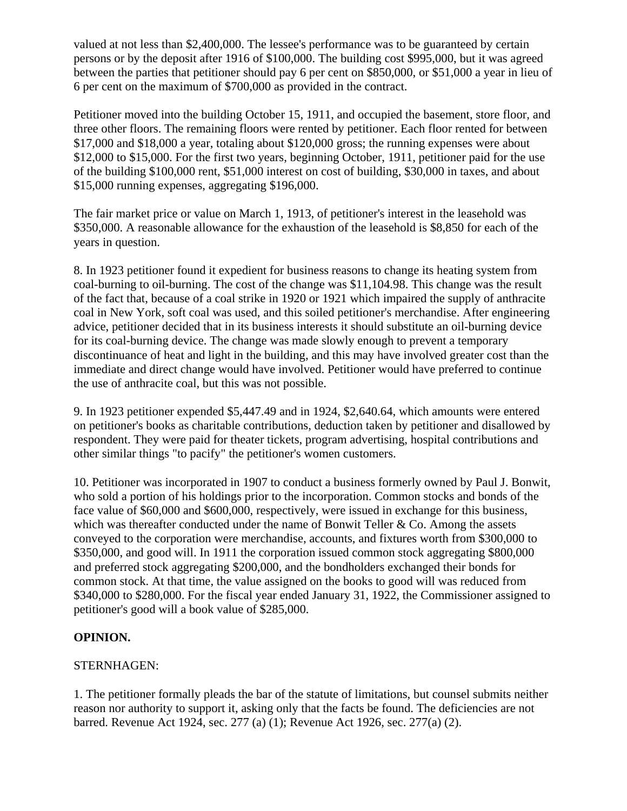valued at not less than \$2,400,000. The lessee's performance was to be guaranteed by certain persons or by the deposit after 1916 of \$100,000. The building cost \$995,000, but it was agreed between the parties that petitioner should pay 6 per cent on \$850,000, or \$51,000 a year in lieu of 6 per cent on the maximum of \$700,000 as provided in the contract.

Petitioner moved into the building October 15, 1911, and occupied the basement, store floor, and three other floors. The remaining floors were rented by petitioner. Each floor rented for between \$17,000 and \$18,000 a year, totaling about \$120,000 gross; the running expenses were about \$12,000 to \$15,000. For the first two years, beginning October, 1911, petitioner paid for the use of the building \$100,000 rent, \$51,000 interest on cost of building, \$30,000 in taxes, and about \$15,000 running expenses, aggregating \$196,000.

The fair market price or value on March 1, 1913, of petitioner's interest in the leasehold was \$350,000. A reasonable allowance for the exhaustion of the leasehold is \$8,850 for each of the years in question.

8. In 1923 petitioner found it expedient for business reasons to change its heating system from coal-burning to oil-burning. The cost of the change was \$11,104.98. This change was the result of the fact that, because of a coal strike in 1920 or 1921 which impaired the supply of anthracite coal in New York, soft coal was used, and this soiled petitioner's merchandise. After engineering advice, petitioner decided that in its business interests it should substitute an oil-burning device for its coal-burning device. The change was made slowly enough to prevent a temporary discontinuance of heat and light in the building, and this may have involved greater cost than the immediate and direct change would have involved. Petitioner would have preferred to continue the use of anthracite coal, but this was not possible.

9. In 1923 petitioner expended \$5,447.49 and in 1924, \$2,640.64, which amounts were entered on petitioner's books as charitable contributions, deduction taken by petitioner and disallowed by respondent. They were paid for theater tickets, program advertising, hospital contributions and other similar things "to pacify" the petitioner's women customers.

10. Petitioner was incorporated in 1907 to conduct a business formerly owned by Paul J. Bonwit, who sold a portion of his holdings prior to the incorporation. Common stocks and bonds of the face value of \$60,000 and \$600,000, respectively, were issued in exchange for this business, which was thereafter conducted under the name of Bonwit Teller  $& Co.$  Among the assets conveyed to the corporation were merchandise, accounts, and fixtures worth from \$300,000 to \$350,000, and good will. In 1911 the corporation issued common stock aggregating \$800,000 and preferred stock aggregating \$200,000, and the bondholders exchanged their bonds for common stock. At that time, the value assigned on the books to good will was reduced from \$340,000 to \$280,000. For the fiscal year ended January 31, 1922, the Commissioner assigned to petitioner's good will a book value of \$285,000.

## **OPINION.**

## STERNHAGEN:

1. The petitioner formally pleads the bar of the statute of limitations, but counsel submits neither reason nor authority to support it, asking only that the facts be found. The deficiencies are not barred. Revenue Act 1924, sec. 277 (a) (1); Revenue Act 1926, sec. 277(a) (2).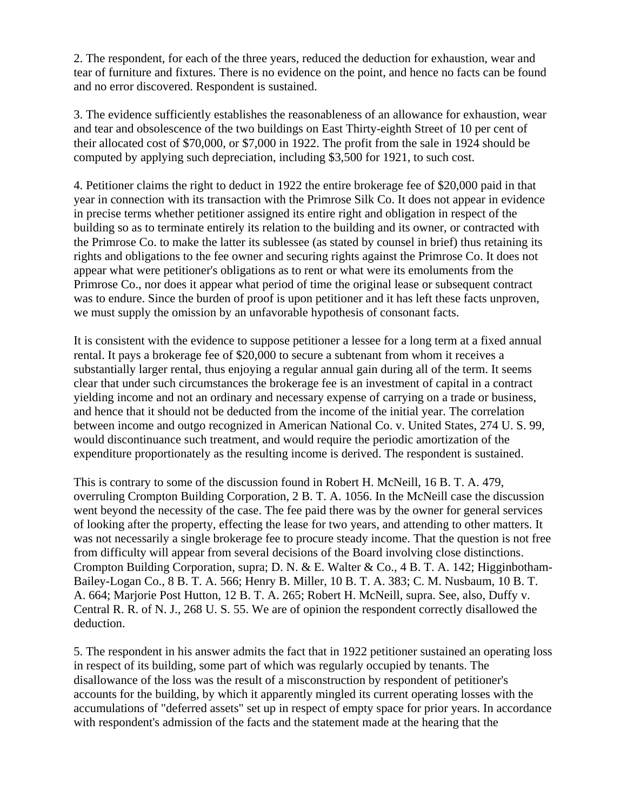2. The respondent, for each of the three years, reduced the deduction for exhaustion, wear and tear of furniture and fixtures. There is no evidence on the point, and hence no facts can be found and no error discovered. Respondent is sustained.

3. The evidence sufficiently establishes the reasonableness of an allowance for exhaustion, wear and tear and obsolescence of the two buildings on East Thirty-eighth Street of 10 per cent of their allocated cost of \$70,000, or \$7,000 in 1922. The profit from the sale in 1924 should be computed by applying such depreciation, including \$3,500 for 1921, to such cost.

4. Petitioner claims the right to deduct in 1922 the entire brokerage fee of \$20,000 paid in that year in connection with its transaction with the Primrose Silk Co. It does not appear in evidence in precise terms whether petitioner assigned its entire right and obligation in respect of the building so as to terminate entirely its relation to the building and its owner, or contracted with the Primrose Co. to make the latter its sublessee (as stated by counsel in brief) thus retaining its rights and obligations to the fee owner and securing rights against the Primrose Co. It does not appear what were petitioner's obligations as to rent or what were its emoluments from the Primrose Co., nor does it appear what period of time the original lease or subsequent contract was to endure. Since the burden of proof is upon petitioner and it has left these facts unproven, we must supply the omission by an unfavorable hypothesis of consonant facts.

It is consistent with the evidence to suppose petitioner a lessee for a long term at a fixed annual rental. It pays a brokerage fee of \$20,000 to secure a subtenant from whom it receives a substantially larger rental, thus enjoying a regular annual gain during all of the term. It seems clear that under such circumstances the brokerage fee is an investment of capital in a contract yielding income and not an ordinary and necessary expense of carrying on a trade or business, and hence that it should not be deducted from the income of the initial year. The correlation between income and outgo recognized in American National Co. v. United States, 274 U. S. 99, would discontinuance such treatment, and would require the periodic amortization of the expenditure proportionately as the resulting income is derived. The respondent is sustained.

This is contrary to some of the discussion found in Robert H. McNeill, 16 B. T. A. 479, overruling Crompton Building Corporation, 2 B. T. A. 1056. In the McNeill case the discussion went beyond the necessity of the case. The fee paid there was by the owner for general services of looking after the property, effecting the lease for two years, and attending to other matters. It was not necessarily a single brokerage fee to procure steady income. That the question is not free from difficulty will appear from several decisions of the Board involving close distinctions. Crompton Building Corporation, supra; D. N. & E. Walter & Co., 4 B. T. A. 142; Higginbotham-Bailey-Logan Co., 8 B. T. A. 566; Henry B. Miller, 10 B. T. A. 383; C. M. Nusbaum, 10 B. T. A. 664; Marjorie Post Hutton, 12 B. T. A. 265; Robert H. McNeill, supra. See, also, Duffy v. Central R. R. of N. J., 268 U. S. 55. We are of opinion the respondent correctly disallowed the deduction.

5. The respondent in his answer admits the fact that in 1922 petitioner sustained an operating loss in respect of its building, some part of which was regularly occupied by tenants. The disallowance of the loss was the result of a misconstruction by respondent of petitioner's accounts for the building, by which it apparently mingled its current operating losses with the accumulations of "deferred assets" set up in respect of empty space for prior years. In accordance with respondent's admission of the facts and the statement made at the hearing that the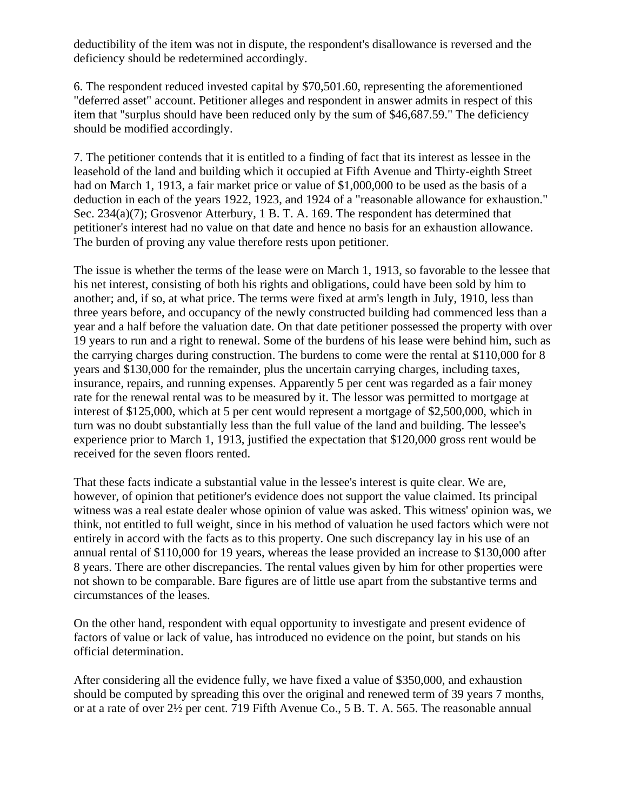deductibility of the item was not in dispute, the respondent's disallowance is reversed and the deficiency should be redetermined accordingly.

6. The respondent reduced invested capital by \$70,501.60, representing the aforementioned "deferred asset" account. Petitioner alleges and respondent in answer admits in respect of this item that "surplus should have been reduced only by the sum of \$46,687.59." The deficiency should be modified accordingly.

7. The petitioner contends that it is entitled to a finding of fact that its interest as lessee in the leasehold of the land and building which it occupied at Fifth Avenue and Thirty-eighth Street had on March 1, 1913, a fair market price or value of \$1,000,000 to be used as the basis of a deduction in each of the years 1922, 1923, and 1924 of a "reasonable allowance for exhaustion." Sec. 234(a)(7); Grosvenor Atterbury, 1 B. T. A. 169. The respondent has determined that petitioner's interest had no value on that date and hence no basis for an exhaustion allowance. The burden of proving any value therefore rests upon petitioner.

The issue is whether the terms of the lease were on March 1, 1913, so favorable to the lessee that his net interest, consisting of both his rights and obligations, could have been sold by him to another; and, if so, at what price. The terms were fixed at arm's length in July, 1910, less than three years before, and occupancy of the newly constructed building had commenced less than a year and a half before the valuation date. On that date petitioner possessed the property with over 19 years to run and a right to renewal. Some of the burdens of his lease were behind him, such as the carrying charges during construction. The burdens to come were the rental at \$110,000 for 8 years and \$130,000 for the remainder, plus the uncertain carrying charges, including taxes, insurance, repairs, and running expenses. Apparently 5 per cent was regarded as a fair money rate for the renewal rental was to be measured by it. The lessor was permitted to mortgage at interest of \$125,000, which at 5 per cent would represent a mortgage of \$2,500,000, which in turn was no doubt substantially less than the full value of the land and building. The lessee's experience prior to March 1, 1913, justified the expectation that \$120,000 gross rent would be received for the seven floors rented.

That these facts indicate a substantial value in the lessee's interest is quite clear. We are, however, of opinion that petitioner's evidence does not support the value claimed. Its principal witness was a real estate dealer whose opinion of value was asked. This witness' opinion was, we think, not entitled to full weight, since in his method of valuation he used factors which were not entirely in accord with the facts as to this property. One such discrepancy lay in his use of an annual rental of \$110,000 for 19 years, whereas the lease provided an increase to \$130,000 after 8 years. There are other discrepancies. The rental values given by him for other properties were not shown to be comparable. Bare figures are of little use apart from the substantive terms and circumstances of the leases.

On the other hand, respondent with equal opportunity to investigate and present evidence of factors of value or lack of value, has introduced no evidence on the point, but stands on his official determination.

After considering all the evidence fully, we have fixed a value of \$350,000, and exhaustion should be computed by spreading this over the original and renewed term of 39 years 7 months, or at a rate of over 2½ per cent. 719 Fifth Avenue Co., 5 B. T. A. 565. The reasonable annual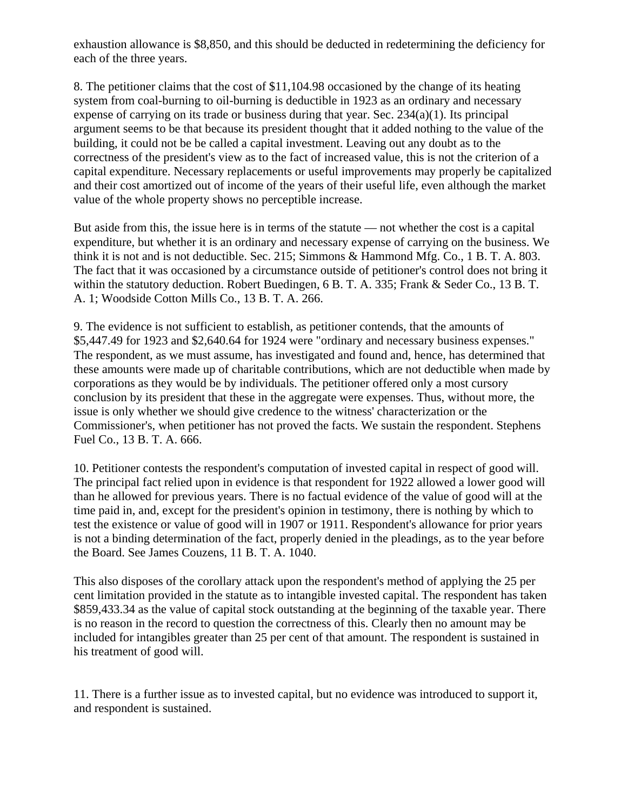exhaustion allowance is \$8,850, and this should be deducted in redetermining the deficiency for each of the three years.

8. The petitioner claims that the cost of \$11,104.98 occasioned by the change of its heating system from coal-burning to oil-burning is deductible in 1923 as an ordinary and necessary expense of carrying on its trade or business during that year. Sec. 234(a)(1). Its principal argument seems to be that because its president thought that it added nothing to the value of the building, it could not be be called a capital investment. Leaving out any doubt as to the correctness of the president's view as to the fact of increased value, this is not the criterion of a capital expenditure. Necessary replacements or useful improvements may properly be capitalized and their cost amortized out of income of the years of their useful life, even although the market value of the whole property shows no perceptible increase.

But aside from this, the issue here is in terms of the statute — not whether the cost is a capital expenditure, but whether it is an ordinary and necessary expense of carrying on the business. We think it is not and is not deductible. Sec. 215; Simmons & Hammond Mfg. Co., 1 B. T. A. 803. The fact that it was occasioned by a circumstance outside of petitioner's control does not bring it within the statutory deduction. Robert Buedingen, 6 B. T. A. 335; Frank & Seder Co., 13 B. T. A. 1; Woodside Cotton Mills Co., 13 B. T. A. 266.

9. The evidence is not sufficient to establish, as petitioner contends, that the amounts of \$5,447.49 for 1923 and \$2,640.64 for 1924 were "ordinary and necessary business expenses." The respondent, as we must assume, has investigated and found and, hence, has determined that these amounts were made up of charitable contributions, which are not deductible when made by corporations as they would be by individuals. The petitioner offered only a most cursory conclusion by its president that these in the aggregate were expenses. Thus, without more, the issue is only whether we should give credence to the witness' characterization or the Commissioner's, when petitioner has not proved the facts. We sustain the respondent. Stephens Fuel Co., 13 B. T. A. 666.

10. Petitioner contests the respondent's computation of invested capital in respect of good will. The principal fact relied upon in evidence is that respondent for 1922 allowed a lower good will than he allowed for previous years. There is no factual evidence of the value of good will at the time paid in, and, except for the president's opinion in testimony, there is nothing by which to test the existence or value of good will in 1907 or 1911. Respondent's allowance for prior years is not a binding determination of the fact, properly denied in the pleadings, as to the year before the Board. See James Couzens, 11 B. T. A. 1040.

This also disposes of the corollary attack upon the respondent's method of applying the 25 per cent limitation provided in the statute as to intangible invested capital. The respondent has taken \$859,433.34 as the value of capital stock outstanding at the beginning of the taxable year. There is no reason in the record to question the correctness of this. Clearly then no amount may be included for intangibles greater than 25 per cent of that amount. The respondent is sustained in his treatment of good will.

11. There is a further issue as to invested capital, but no evidence was introduced to support it, and respondent is sustained.